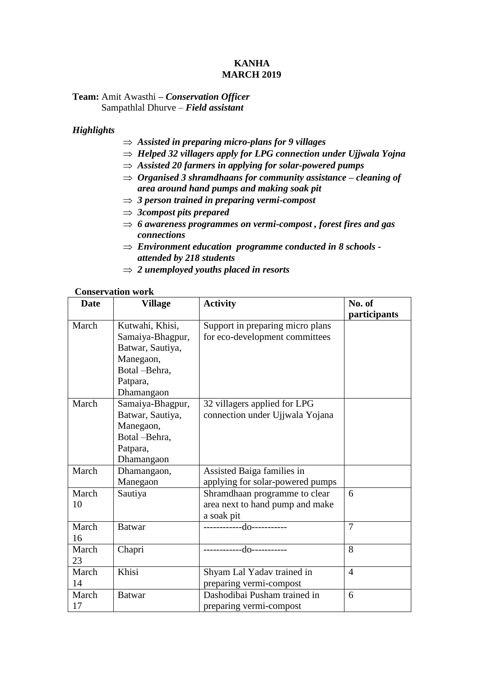## **KANHA MARCH 2019**

## **Team:** Amit Awasthi **–** *Conservation Officer* Sampathlal Dhurve – *Field assistant*

# *Highlights*

- *Assisted in preparing micro-plans for 9 villages*
- $\Rightarrow$  *Helped 32 villagers apply for LPG connection under Ujjwala Yojna*
- $\Rightarrow$  Assisted 20 farmers in applying for solar-powered pumps
- *Organised 3 shramdhaans for community assistance – cleaning of area around hand pumps and making soak pit*
- *3 person trained in preparing vermi-compost*
- *3compost pits prepared*
- $\Rightarrow$  6 *awareness programmes on vermi-compost, forest fires and gas connections*
- *Environment education programme conducted in 8 schools attended by 218 students*
- $\Rightarrow$  2 *unemployed youths placed in resorts*

#### **Conservation work**

| <b>Date</b> | <b>Village</b>   | <b>Activity</b>                  | No. of         |
|-------------|------------------|----------------------------------|----------------|
|             |                  |                                  | participants   |
| March       | Kutwahi, Khisi,  | Support in preparing micro plans |                |
|             | Samaiya-Bhagpur, | for eco-development committees   |                |
|             | Batwar, Sautiya, |                                  |                |
|             | Manegaon,        |                                  |                |
|             | Botal -Behra,    |                                  |                |
|             | Patpara,         |                                  |                |
|             | Dhamangaon       |                                  |                |
| March       | Samaiya-Bhagpur, | 32 villagers applied for LPG     |                |
|             | Batwar, Sautiya, | connection under Ujjwala Yojana  |                |
|             | Manegaon,        |                                  |                |
|             | Botal -Behra,    |                                  |                |
|             | Patpara,         |                                  |                |
|             | Dhamangaon       |                                  |                |
| March       | Dhamangaon,      | Assisted Baiga families in       |                |
|             | Manegaon         | applying for solar-powered pumps |                |
| March       | Sautiya          | Shramdhaan programme to clear    | 6              |
| 10          |                  | area next to hand pump and make  |                |
|             |                  | a soak pit                       |                |
| March       | <b>Batwar</b>    |                                  | $\overline{7}$ |
| 16          |                  |                                  |                |
| March       | Chapri           | ------------do-----------        | 8              |
| 23          |                  |                                  |                |
| March       | Khisi            | Shyam Lal Yadav trained in       | $\overline{4}$ |
| 14          |                  | preparing vermi-compost          |                |
| March       | <b>Batwar</b>    | Dashodibai Pusham trained in     | 6              |
| 17          |                  | preparing vermi-compost          |                |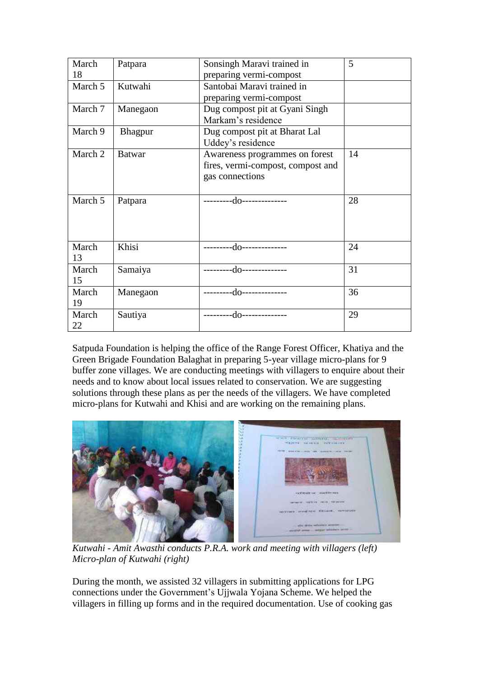| March   | Patpara       | Sonsingh Maravi trained in        | 5  |
|---------|---------------|-----------------------------------|----|
| 18      |               | preparing vermi-compost           |    |
| March 5 | Kutwahi       | Santobai Maravi trained in        |    |
|         |               | preparing vermi-compost           |    |
| March 7 | Manegaon      | Dug compost pit at Gyani Singh    |    |
|         |               | Markam's residence                |    |
| March 9 | Bhagpur       | Dug compost pit at Bharat Lal     |    |
|         |               | Uddey's residence                 |    |
| March 2 | <b>Batwar</b> | Awareness programmes on forest    | 14 |
|         |               | fires, vermi-compost, compost and |    |
|         |               | gas connections                   |    |
|         |               |                                   |    |
| March 5 | Patpara       | ---------do--------------         | 28 |
|         |               |                                   |    |
|         |               |                                   |    |
|         |               |                                   |    |
| March   | Khisi         | ---------do-------------          | 24 |
| 13      |               |                                   |    |
| March   | Samaiya       | ---------do-------------          | 31 |
| 15      |               |                                   |    |
| March   | Manegaon      | ----------do--------------        | 36 |
| 19      |               |                                   |    |
| March   | Sautiya       | -do--------------<br>--------     | 29 |
| 22      |               |                                   |    |

Satpuda Foundation is helping the office of the Range Forest Officer, Khatiya and the Green Brigade Foundation Balaghat in preparing 5-year village micro-plans for 9 buffer zone villages. We are conducting meetings with villagers to enquire about their needs and to know about local issues related to conservation. We are suggesting solutions through these plans as per the needs of the villagers. We have completed micro-plans for Kutwahi and Khisi and are working on the remaining plans.



*Kutwahi - Amit Awasthi conducts P.R.A. work and meeting with villagers (left) Micro-plan of Kutwahi (right)*

During the month, we assisted 32 villagers in submitting applications for LPG connections under the Government's Ujjwala Yojana Scheme. We helped the villagers in filling up forms and in the required documentation. Use of cooking gas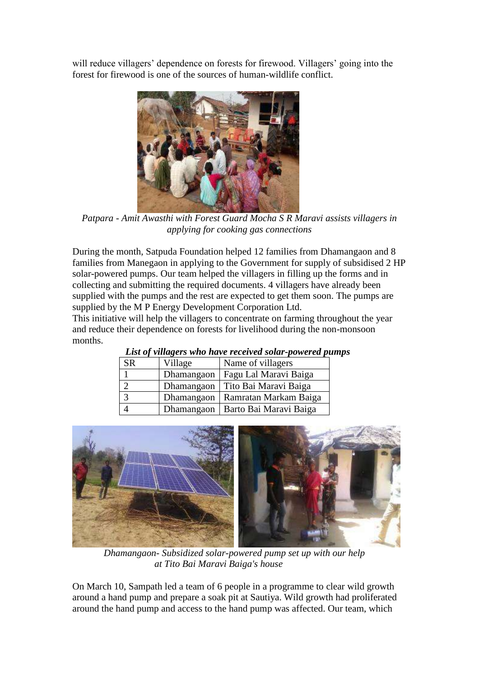will reduce villagers' dependence on forests for firewood. Villagers' going into the forest for firewood is one of the sources of human-wildlife conflict.



*Patpara - Amit Awasthi with Forest Guard Mocha S R Maravi assists villagers in applying for cooking gas connections*

During the month, Satpuda Foundation helped 12 families from Dhamangaon and 8 families from Manegaon in applying to the Government for supply of subsidised 2 HP solar-powered pumps. Our team helped the villagers in filling up the forms and in collecting and submitting the required documents. 4 villagers have already been supplied with the pumps and the rest are expected to get them soon. The pumps are supplied by the M P Energy Development Corporation Ltd.

This initiative will help the villagers to concentrate on farming throughout the year and reduce their dependence on forests for livelihood during the non-monsoon months.

| List of Tung of show have recent on sonn poweren pas |            |                        |  |  |  |
|------------------------------------------------------|------------|------------------------|--|--|--|
| SR                                                   | Village    | Name of villagers      |  |  |  |
|                                                      | Dhamangaon | Fagu Lal Maravi Baiga  |  |  |  |
|                                                      | Dhamangaon | Tito Bai Maravi Baiga  |  |  |  |
| 3                                                    | Dhamangaon | Ramratan Markam Baiga  |  |  |  |
|                                                      | Dhamangaon | Barto Bai Maravi Baiga |  |  |  |

*List of villagers who have received solar-powered pumps*



 *Dhamangaon- Subsidized solar-powered pump set up with our help at Tito Bai Maravi Baiga's house* 

On March 10, Sampath led a team of 6 people in a programme to clear wild growth around a hand pump and prepare a soak pit at Sautiya. Wild growth had proliferated around the hand pump and access to the hand pump was affected. Our team, which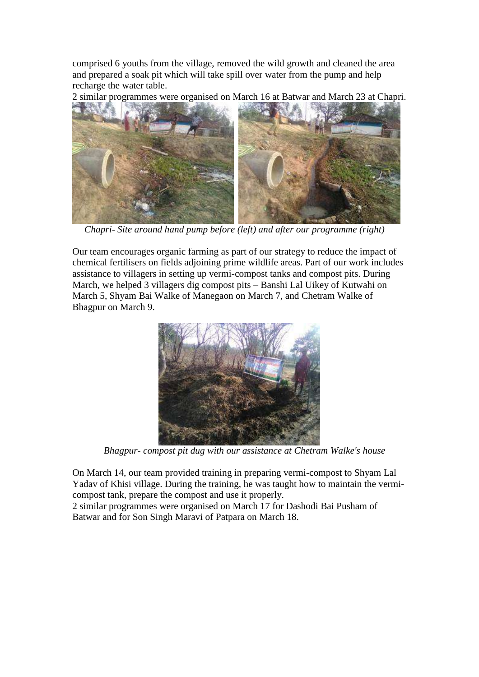comprised 6 youths from the village, removed the wild growth and cleaned the area and prepared a soak pit which will take spill over water from the pump and help recharge the water table.

2 similar programmes were organised on March 16 at Batwar and March 23 at Chapri.



*Chapri- Site around hand pump before (left) and after our programme (right)* 

Our team encourages organic farming as part of our strategy to reduce the impact of chemical fertilisers on fields adjoining prime wildlife areas. Part of our work includes assistance to villagers in setting up vermi-compost tanks and compost pits. During March, we helped 3 villagers dig compost pits – Banshi Lal Uikey of Kutwahi on March 5, Shyam Bai Walke of Manegaon on March 7, and Chetram Walke of Bhagpur on March 9.



 *Bhagpur- compost pit dug with our assistance at Chetram Walke's house*

On March 14, our team provided training in preparing vermi-compost to Shyam Lal Yadav of Khisi village. During the training, he was taught how to maintain the vermicompost tank, prepare the compost and use it properly.

2 similar programmes were organised on March 17 for Dashodi Bai Pusham of Batwar and for Son Singh Maravi of Patpara on March 18.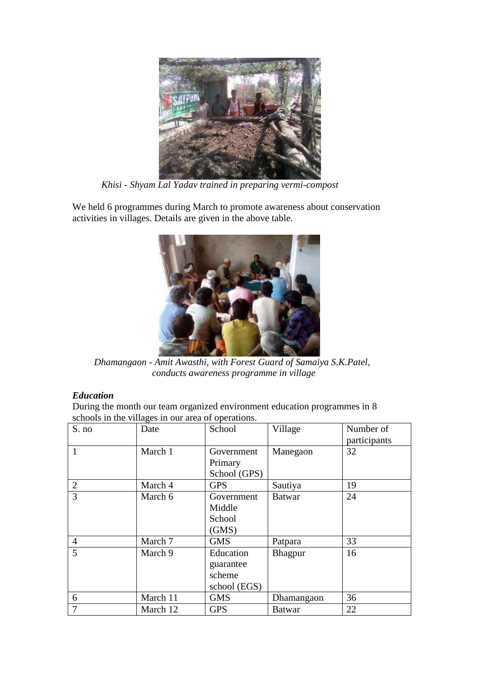

 *Khisi - Shyam Lal Yadav trained in preparing vermi-compost*

We held 6 programmes during March to promote awareness about conservation activities in villages. Details are given in the above table.



 *Dhamangaon - Amit Awasthi, with Forest Guard of Samaiya S.K.Patel, conducts awareness programme in village*

# *Education*

During the month our team organized environment education programmes in 8 schools in the villages in our area of operations.

| S. no          | Date     | School       | Village       | Number of    |
|----------------|----------|--------------|---------------|--------------|
|                |          |              |               | participants |
| 1              | March 1  | Government   | Manegaon      | 32           |
|                |          | Primary      |               |              |
|                |          | School (GPS) |               |              |
| $\overline{2}$ | March 4  | <b>GPS</b>   | Sautiya       | 19           |
| 3              | March 6  | Government   | <b>Batwar</b> | 24           |
|                |          | Middle       |               |              |
|                |          | School       |               |              |
|                |          | (GMS)        |               |              |
| $\overline{4}$ | March 7  | <b>GMS</b>   | Patpara       | 33           |
| 5              | March 9  | Education    | Bhagpur       | 16           |
|                |          | guarantee    |               |              |
|                |          | scheme       |               |              |
|                |          | school (EGS) |               |              |
| 6              | March 11 | <b>GMS</b>   | Dhamangaon    | 36           |
| 7              | March 12 | <b>GPS</b>   | <b>Batwar</b> | 22           |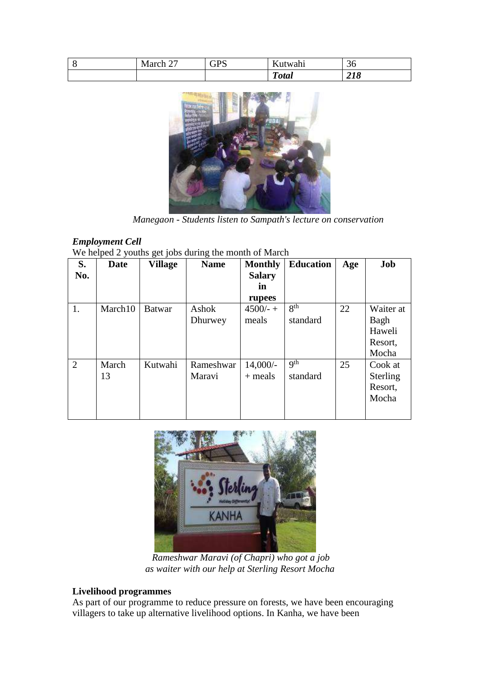| ◡ | ~~<br>March 2. | CDC<br>ິ | $\mathbf{r}$<br>twahi<br>Au' | $\sim$<br>30 |
|---|----------------|----------|------------------------------|--------------|
|   |                |          | m<br><i><b>Total</b></i>     | 41 V         |



 *Manegaon - Students listen to Sampath's lecture on conservation*

# *Employment Cell*

We helped 2 youths get jobs during the month of March

| S.<br>No.      | Date        | <i>o</i> J -<br>Village | o<br><b>Name</b>    | <b>Monthly</b><br><b>Salary</b><br>in | <b>Education</b>            | Age | Job                                             |
|----------------|-------------|-------------------------|---------------------|---------------------------------------|-----------------------------|-----|-------------------------------------------------|
|                |             |                         |                     | rupees                                |                             |     |                                                 |
| 1.             | March10     | <b>Batwar</b>           | Ashok<br>Dhurwey    | $4500/- +$<br>meals                   | 8 <sup>th</sup><br>standard | 22  | Waiter at<br>Bagh<br>Haweli<br>Resort,<br>Mocha |
| $\overline{2}$ | March<br>13 | Kutwahi                 | Rameshwar<br>Maravi | $14,000/-$<br>$+$ meals               | <b>gth</b><br>standard      | 25  | Cook at<br><b>Sterling</b><br>Resort,<br>Mocha  |



 *Rameshwar Maravi (of Chapri) who got a job as waiter with our help at Sterling Resort Mocha*

## **Livelihood programmes**

As part of our programme to reduce pressure on forests, we have been encouraging villagers to take up alternative livelihood options. In Kanha, we have been